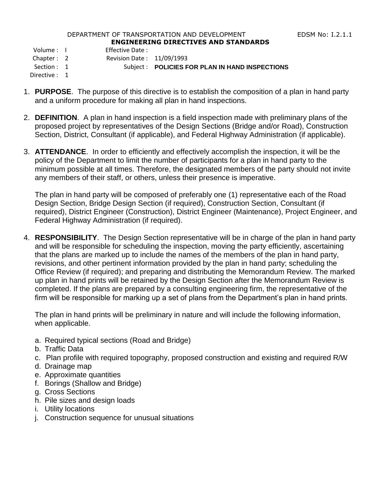## DEPARTMENT OF TRANSPORTATION AND DEVELOPMENT FOR THE REDSM No: 1.2.1.1 **ENGINEERING DIRECTIVES AND STANDARDS**

Volume : I Effective Date :

Chapter : 2 Revision Date : 11/09/1993

Section : 1 Subject : **POLICIES FOR PLAN IN HAND INSPECTIONS** 

Directive : 1

- 1. **PURPOSE**. The purpose of this directive is to establish the composition of a plan in hand party and a uniform procedure for making all plan in hand inspections.
- 2. **DEFINITION**. A plan in hand inspection is a field inspection made with preliminary plans of the proposed project by representatives of the Design Sections (Bridge and/or Road), Construction Section, District, Consultant (if applicable), and Federal Highway Administration (if applicable).
- 3. **ATTENDANCE**. In order to efficiently and effectively accomplish the inspection, it will be the policy of the Department to limit the number of participants for a plan in hand party to the minimum possible at all times. Therefore, the designated members of the party should not invite any members of their staff, or others, unless their presence is imperative.

The plan in hand party will be composed of preferably one (1) representative each of the Road Design Section, Bridge Design Section (if required), Construction Section, Consultant (if required), District Engineer (Construction), District Engineer (Maintenance), Project Engineer, and Federal Highway Administration (if required).

4. **RESPONSIBILITY**. The Design Section representative will be in charge of the plan in hand party and will be responsible for scheduling the inspection, moving the party efficiently, ascertaining that the plans are marked up to include the names of the members of the plan in hand party, revisions, and other pertinent information provided by the plan in hand party; scheduling the Office Review (if required); and preparing and distributing the Memorandum Review. The marked up plan in hand prints will be retained by the Design Section after the Memorandum Review is completed. If the plans are prepared by a consulting engineering firm, the representative of the firm will be responsible for marking up a set of plans from the Department's plan in hand prints.

The plan in hand prints will be preliminary in nature and will include the following information, when applicable.

- a. Required typical sections (Road and Bridge)
- b. Traffic Data
- c. Plan profile with required topography, proposed construction and existing and required R/W
- d. Drainage map
- e. Approximate quantities
- f. Borings (Shallow and Bridge)
- g. Cross Sections
- h. Pile sizes and design loads
- i. Utility locations
- j. Construction sequence for unusual situations